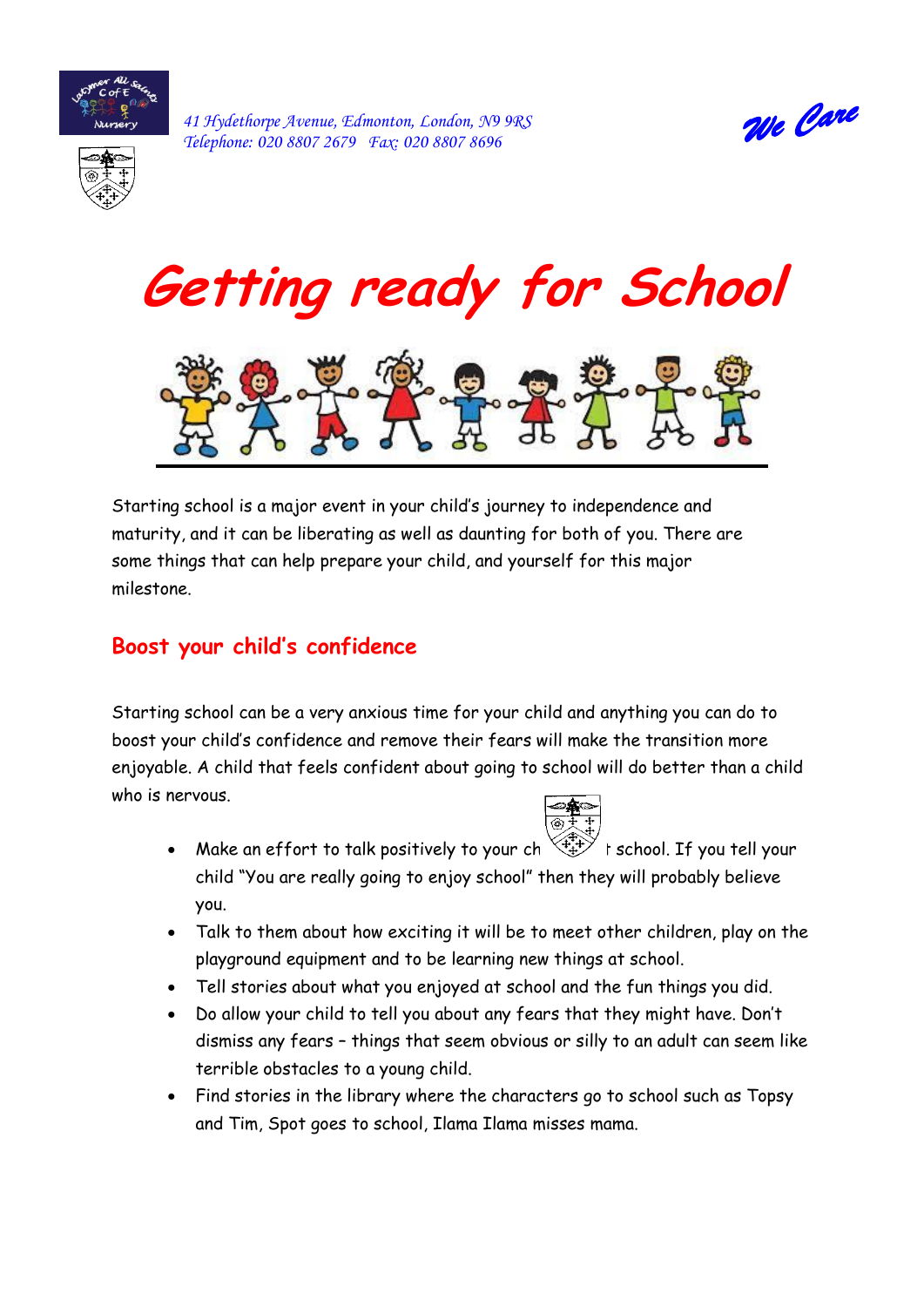

*41 Hydethorpe Avenue, Edmonton, London, N9 9RS Telephone: 020 8807 2679 Fax: 020 8807 8696* 







Starting school is a major event in your child's journey to independence and maturity, and it can be liberating as well as daunting for both of you. There are some things that can help prepare your child, and yourself for this major milestone.

### **Boost your child's confidence**

Starting school can be a very anxious time for your child and anything you can do to boost your child's confidence and remove their fears will make the transition more enjoyable. A child that feels confident about going to school will do better than a child who is nervous.



- Make an effort to talk positively to your ch  $\widehat{\mathbb{C}}^{**\rightarrow\ast}_\pm$  t school. If you tell your child "You are really going to enjoy school" then they will probably believe you.
- Talk to them about how exciting it will be to meet other children, play on the playground equipment and to be learning new things at school.
- Tell stories about what you enjoyed at school and the fun things you did.
- Do allow your child to tell you about any fears that they might have. Don't dismiss any fears – things that seem obvious or silly to an adult can seem like terrible obstacles to a young child.
- Find stories in the library where the characters go to school such as Topsy and Tim, Spot goes to school, Ilama Ilama misses mama.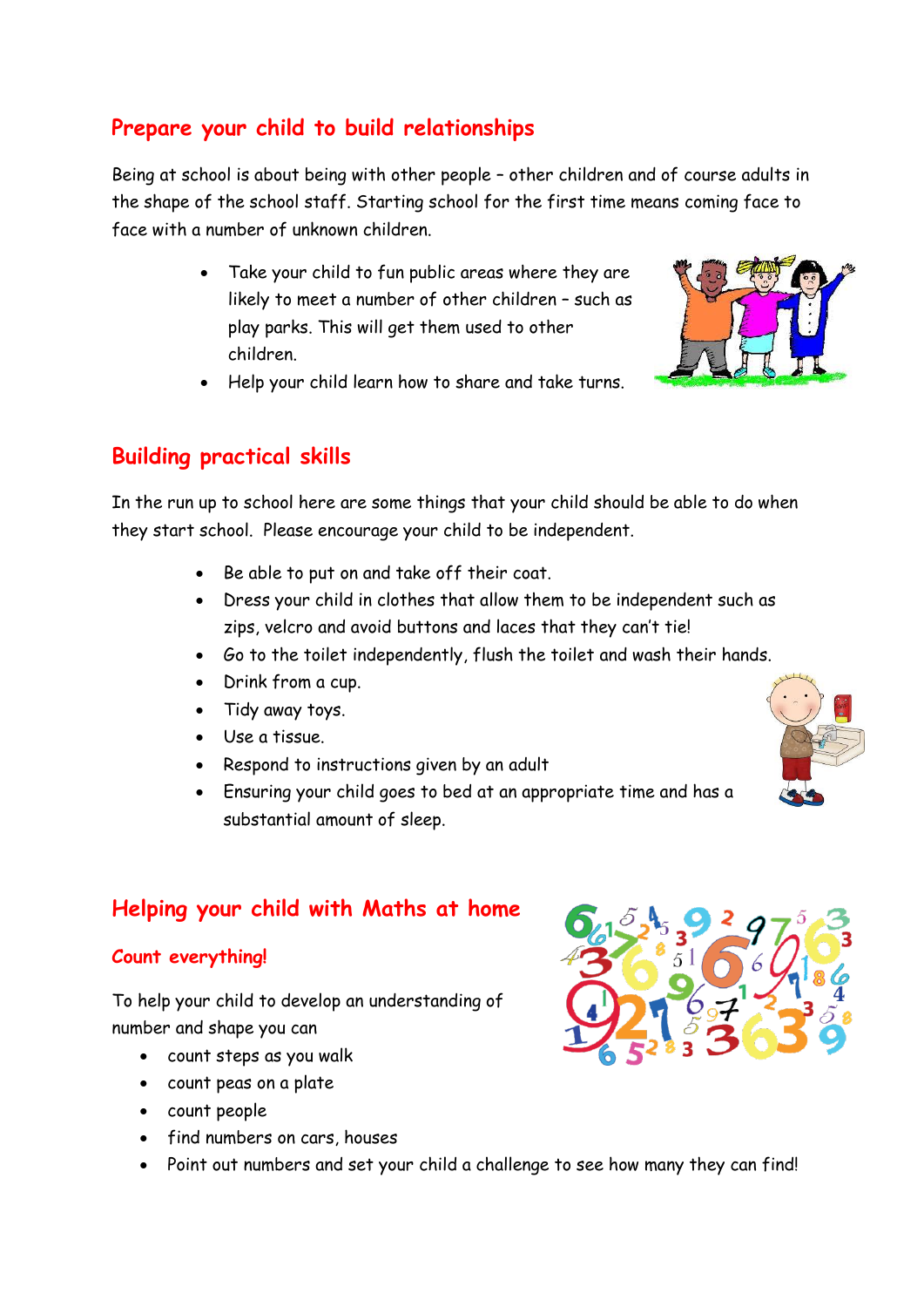# **Prepare your child to build relationships**

Being at school is about being with other people – other children and of course adults in the shape of the school staff. Starting school for the first time means coming face to face with a number of unknown children.

> Take your child to fun public areas where they are likely to meet a number of other children – such as play parks. This will get them used to other children.



• Help your child learn how to share and take turns.

### **Building practical skills**

In the run up to school here are some things that your child should be able to do when they start school. Please encourage your child to be independent.

- Be able to put on and take off their coat.
- Dress your child in clothes that allow them to be independent such as zips, velcro and avoid buttons and laces that they can't tie!
- Go to the toilet independently, flush the toilet and wash their hands.
- Drink from a cup.
- Tidy away toys.
- Use a tissue.
- Respond to instructions given by an adult
- Ensuring your child goes to bed at an appropriate time and has a substantial amount of sleep.



### **Helping your child with Maths at home**

#### **Count everything!**

To help your child to develop an understanding of number and shape you can

- count steps as you walk
- count peas on a plate
- count people
- find numbers on cars, houses
- Point out numbers and set your child a challenge to see how many they can find!

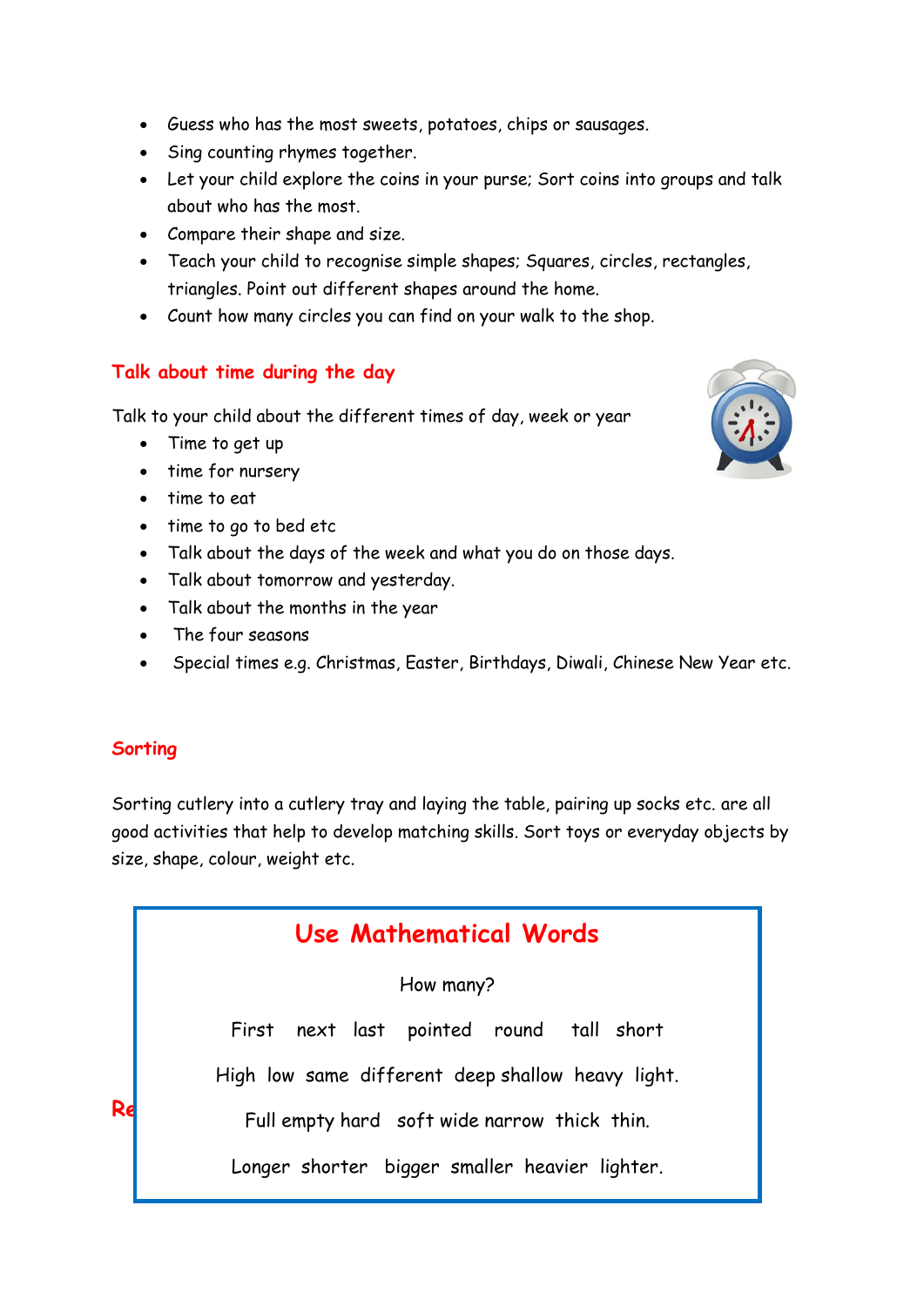- Guess who has the most sweets, potatoes, chips or sausages.
- Sing counting rhymes together.
- Let your child explore the coins in your purse; Sort coins into groups and talk about who has the most.
- Compare their shape and size.
- Teach your child to recognise simple shapes; Squares, circles, rectangles, triangles. Point out different shapes around the home.
- Count how many circles you can find on your walk to the shop.

#### **Talk about time during the day**

Talk to your child about the different times of day, week or year

- Time to get up
- time for nursery
- time to eat
- time to go to bed etc
- Talk about the days of the week and what you do on those days.
- Talk about tomorrow and yesterday.
- Talk about the months in the year
- The four seasons
- Special times e.g. Christmas, Easter, Birthdays, Diwali, Chinese New Year etc.

#### **Sorting**

Sorting cutlery into a cutlery tray and laying the table, pairing up socks etc. are all good activities that help to develop matching skills. Sort toys or everyday objects by size, shape, colour, weight etc.

|    | Use Mathematical Words                            |
|----|---------------------------------------------------|
|    | How many?                                         |
|    | First next last pointed round tall short          |
|    | High low same different deep shallow heavy light. |
| Re | Full empty hard soft wide narrow thick thin.      |
|    | Longer shorter bigger smaller heavier lighter.    |

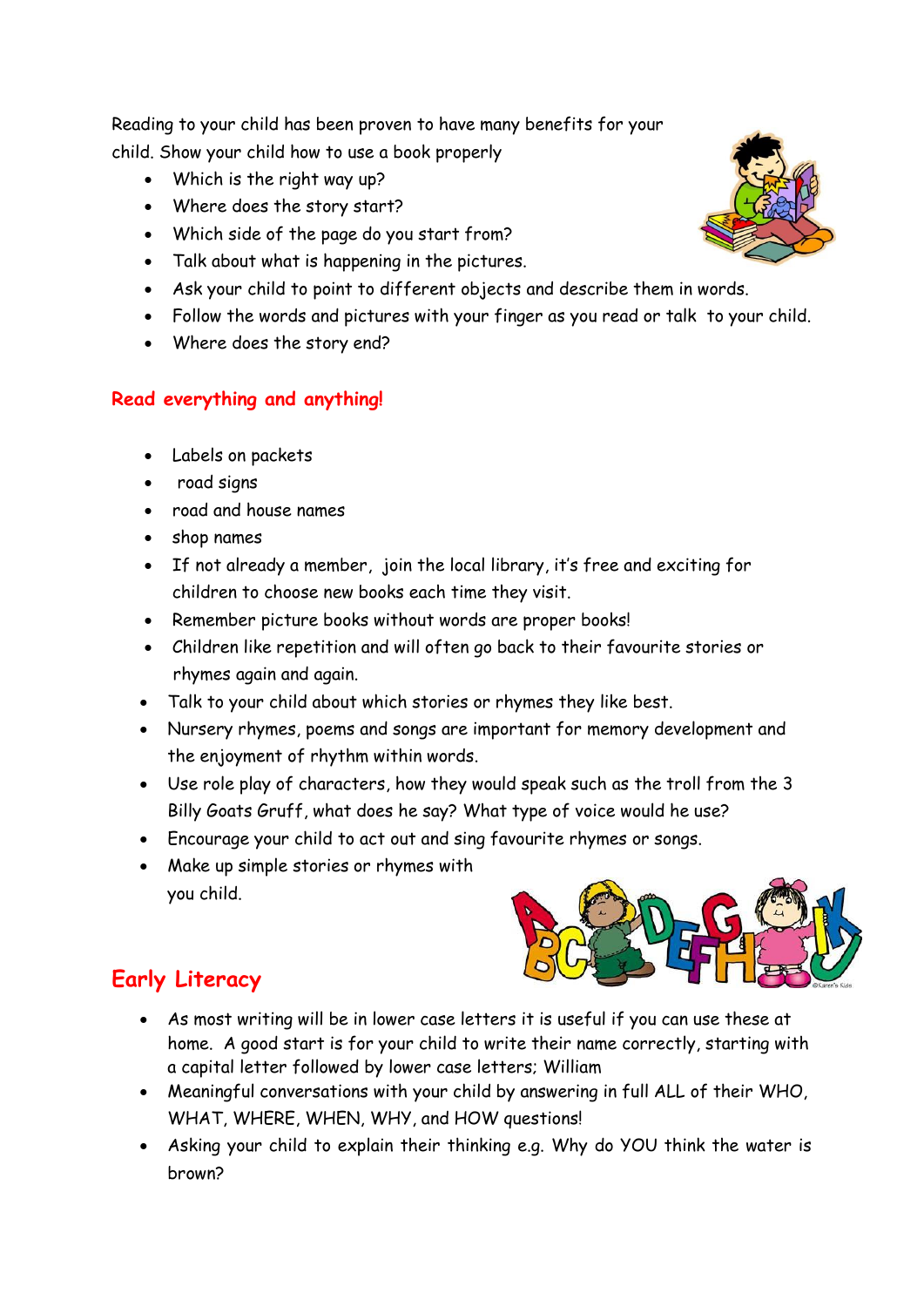Reading to your child has been proven to have many benefits for your child. Show your child how to use a book properly

- Which is the right way up?
- Where does the story start?
- Which side of the page do you start from?
- Talk about what is happening in the pictures.
- Ask your child to point to different objects and describe them in words.
- Follow the words and pictures with your finger as you read or talk to your child.
- Where does the story end?

### **Read everything and anything!**

- Labels on packets
- road signs
- road and house names
- shop names
- If not already a member, join the local library, it's free and exciting for children to choose new books each time they visit.
- Remember picture books without words are proper books!
- Children like repetition and will often go back to their favourite stories or rhymes again and again.
- Talk to your child about which stories or rhymes they like best.
- Nursery rhymes, poems and songs are important for memory development and the enjoyment of rhythm within words.
- Use role play of characters, how they would speak such as the troll from the 3 Billy Goats Gruff, what does he say? What type of voice would he use?
- Encourage your child to act out and sing favourite rhymes or songs.
- Make up simple stories or rhymes with you child.



## **Early Literacy**

- As most writing will be in lower case letters it is useful if you can use these at home. A good start is for your child to write their name correctly, starting with a capital letter followed by lower case letters; William
- Meaningful conversations with your child by answering in full ALL of their WHO, WHAT, WHERE, WHEN, WHY, and HOW questions!
- Asking your child to explain their thinking e.g. Why do YOU think the water is brown?